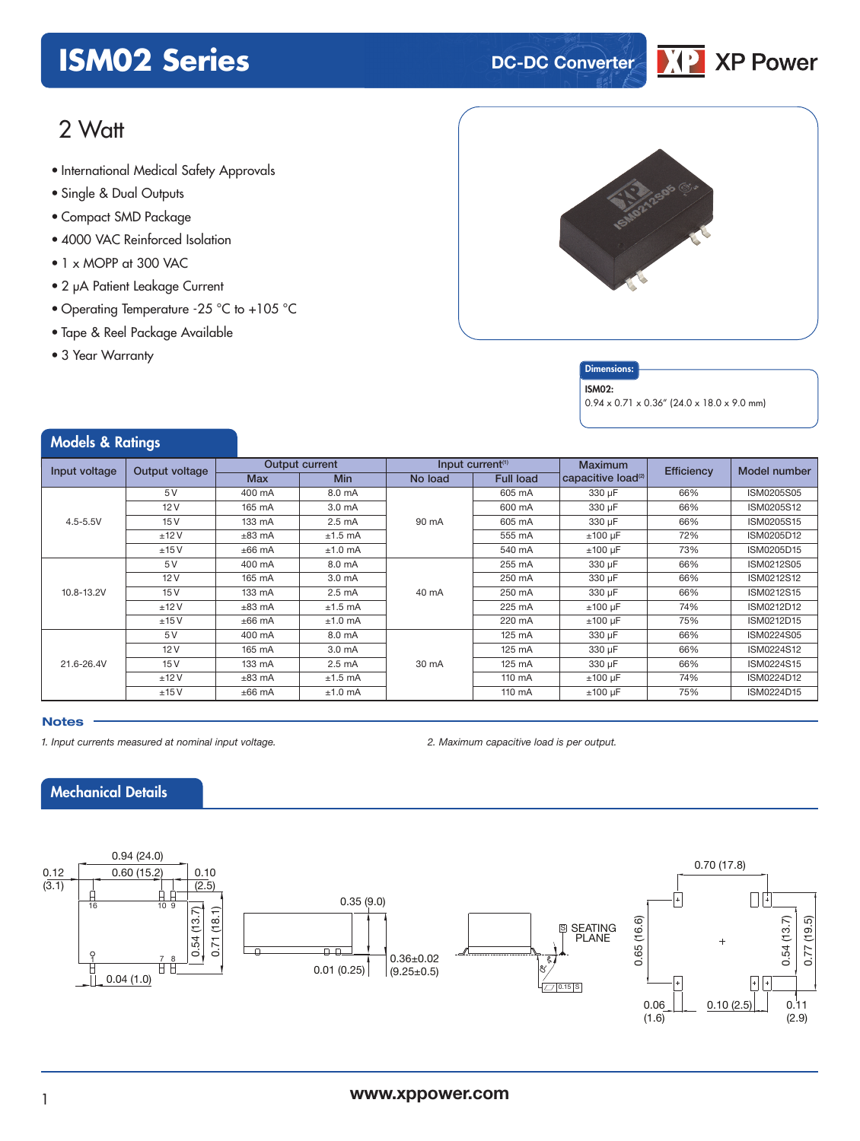### **ISM02 Series DC-DC** Converter



### 2 Watt

- International Medical Safety Approvals
- Single & Dual Outputs
- Compact SMD Package
- 4000 VAC Reinforced Isolation
- 1 x MOPP at 300 VAC
- 2 µA Patient Leakage Current
- Operating Temperature -25 °C to +105 °C
- Tape & Reel Package Available
- 3 Year Warranty



### **Dimensions**

#### ISM02:

0.94 x 0.71 x 0.36" (24.0 x 18.0 x 9.0 mm)

### Models & Ratings

| Input voltage | Output voltage | <b>Output current</b> |                    | Input current $(1)$ |                  | <b>Maximum</b>                 | Efficiency | Model number |
|---------------|----------------|-----------------------|--------------------|---------------------|------------------|--------------------------------|------------|--------------|
|               |                | <b>Max</b>            | <b>Min</b>         | No load             | <b>Full load</b> | capacitive load <sup>(2)</sup> |            |              |
| $4.5 - 5.5V$  | 5V             | 400 mA                | 8.0 mA             | 90 mA               | 605 mA           | 330 µF                         | 66%        | ISM0205S05   |
|               | 12V            | 165 mA                | 3.0 <sub>m</sub> A |                     | 600 mA           | 330 µF                         | 66%        | ISM0205S12   |
|               | 15V            | 133 mA                | $2.5 \text{ mA}$   |                     | 605 mA           | 330 uF                         | 66%        | ISM0205S15   |
|               | ±12V           | $±83$ mA              | $±1.5$ mA          |                     | 555 mA           | $±100 \mu F$                   | 72%        | ISM0205D12   |
|               | ±15V           | $±66$ mA              | $±1.0$ mA          |                     | 540 mA           | $±100 \mu F$                   | 73%        | ISM0205D15   |
| 10.8-13.2V    | 5V             | 400 mA                | 8.0 mA             | 40 mA               | 255 mA           | 330 µF                         | 66%        | ISM0212S05   |
|               | 12V            | 165 mA                | 3.0 <sub>m</sub> A |                     | 250 mA           | 330 µF                         | 66%        | ISM0212S12   |
|               | 15V            | 133 mA                | $2.5 \text{ mA}$   |                     | 250 mA           | 330 µF                         | 66%        | ISM0212S15   |
|               | ±12V           | $±83$ mA              | $±1.5$ mA          |                     | 225 mA           | $±100 \mu F$                   | 74%        | ISM0212D12   |
|               | ±15V           | $±66$ mA              | $±1.0$ mA          |                     | 220 mA           | $±100 \mu F$                   | 75%        | ISM0212D15   |
| 21.6-26.4V    | 5V             | 400 mA                | 8.0 mA             | 30 mA               | 125 mA           | 330 µF                         | 66%        | ISM0224S05   |
|               | 12V            | 165 mA                | 3.0 <sub>m</sub> A |                     | 125 mA           | 330 µF                         | 66%        | ISM0224S12   |
|               | 15V            | 133 mA                | $2.5 \text{ mA}$   |                     | 125 mA           | 330 µF                         | 66%        | ISM0224S15   |
|               | ±12V           | $±83$ mA              | $±1.5$ mA          |                     | 110 mA           | $±100$ uF                      | 74%        | ISM0224D12   |
|               | ±15V           | $±66$ mA              | $±1.0$ mA          |                     | 110 mA           | $±100 \mu F$                   | 75%        | ISM0224D15   |

#### **Notes**

*1. Input currents measured at nominal input voltage. 2. Maximum capacitive load is per output.*

### Mechanical Details

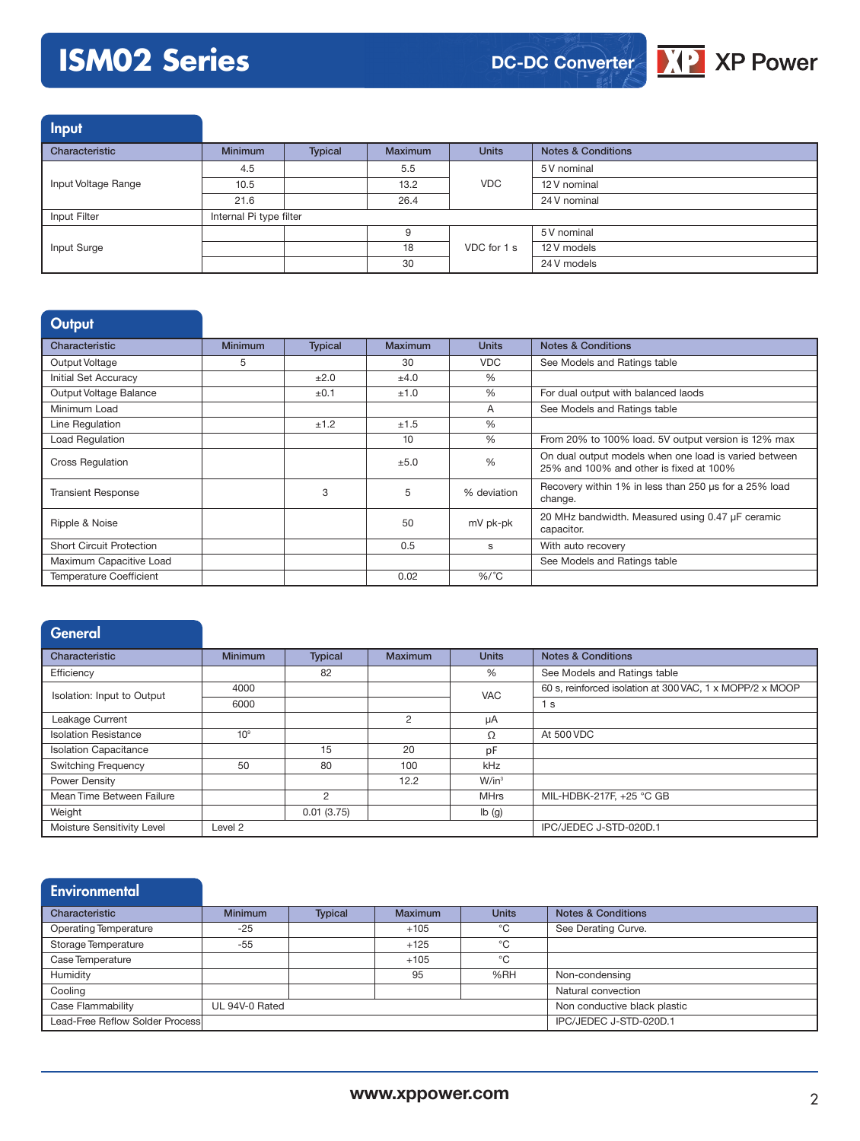# **ISM02 Series**



Input

| ___                 |                         |         |                |              |                               |  |
|---------------------|-------------------------|---------|----------------|--------------|-------------------------------|--|
| Characteristic      | <b>Minimum</b>          | Typical | <b>Maximum</b> | <b>Units</b> | <b>Notes &amp; Conditions</b> |  |
|                     | 4.5                     |         | 5.5            | <b>VDC</b>   | 5 V nominal                   |  |
| Input Voltage Range | 10.5                    |         | 13.2           |              | 12 V nominal                  |  |
|                     | 21.6                    |         | 26.4           |              | 24 V nominal                  |  |
| Input Filter        | Internal Pi type filter |         |                |              |                               |  |
|                     |                         |         | 9              |              | 5 V nominal                   |  |
| Input Surge         |                         |         | 18             | VDC for 1 s  | 12 V models                   |  |
|                     |                         |         | 30             |              | 24 V models                   |  |

### **Output**

| Characteristic                  | <b>Minimum</b> | <b>Typical</b> | Maximum | <b>Units</b>  | <b>Notes &amp; Conditions</b>                                                                    |
|---------------------------------|----------------|----------------|---------|---------------|--------------------------------------------------------------------------------------------------|
| Output Voltage                  | 5              |                | 30      | <b>VDC</b>    | See Models and Ratings table                                                                     |
| Initial Set Accuracy            |                | ±2.0           | ±4.0    | %             |                                                                                                  |
| Output Voltage Balance          |                | ±0.1           | ±1.0    | $\%$          | For dual output with balanced laods                                                              |
| Minimum Load                    |                |                |         | A             | See Models and Ratings table                                                                     |
| Line Regulation                 |                | ±1.2           | ±1.5    | $\%$          |                                                                                                  |
| <b>Load Regulation</b>          |                |                | 10      | $\%$          | From 20% to 100% load. 5V output version is 12% max                                              |
| <b>Cross Regulation</b>         |                |                | ±5.0    | $\frac{0}{0}$ | On dual output models when one load is varied between<br>25% and 100% and other is fixed at 100% |
| <b>Transient Response</b>       |                | 3              | 5       | % deviation   | Recovery within 1% in less than 250 us for a 25% load<br>change.                                 |
| Ripple & Noise                  |                |                | 50      | mV pk-pk      | 20 MHz bandwidth. Measured using 0.47 µF ceramic<br>capacitor.                                   |
| <b>Short Circuit Protection</b> |                |                | 0.5     | s             | With auto recovery                                                                               |
| Maximum Capacitive Load         |                |                |         |               | See Models and Ratings table                                                                     |
| <b>Temperature Coefficient</b>  |                |                | 0.02    | $%$ /°C       |                                                                                                  |

| <b>General</b>               |                    |                |                |              |                                                          |
|------------------------------|--------------------|----------------|----------------|--------------|----------------------------------------------------------|
| Characteristic               | <b>Minimum</b>     | <b>Typical</b> | <b>Maximum</b> | <b>Units</b> | <b>Notes &amp; Conditions</b>                            |
| Efficiency                   |                    | 82             |                | %            | See Models and Ratings table                             |
| Isolation: Input to Output   | 4000               |                |                | <b>VAC</b>   | 60 s, reinforced isolation at 300 VAC, 1 x MOPP/2 x MOOP |
|                              | 6000               |                |                |              | 1 <sub>s</sub>                                           |
| Leakage Current              |                    |                | 2              | μA           |                                                          |
| <b>Isolation Resistance</b>  | 10 <sup>9</sup>    |                |                | Ω            | At 500 VDC                                               |
| <b>Isolation Capacitance</b> |                    | 15             | 20             | pF           |                                                          |
| <b>Switching Frequency</b>   | 50                 | 80             | 100            | kHz          |                                                          |
| Power Density                |                    |                | 12.2           | $W/in^3$     |                                                          |
| Mean Time Between Failure    |                    | $\mathfrak{D}$ |                | <b>MHrs</b>  | MIL-HDBK-217F, +25 °C GB                                 |
| Weight                       |                    | 0.01(3.75)     |                | Ib(g)        |                                                          |
| Moisture Sensitivity Level   | Level <sub>2</sub> |                |                |              | IPC/JEDEC J-STD-020D.1                                   |

| Environmental                    |                |                |                |                        |                               |
|----------------------------------|----------------|----------------|----------------|------------------------|-------------------------------|
| Characteristic                   | <b>Minimum</b> | <b>Typical</b> | <b>Maximum</b> | <b>Units</b>           | <b>Notes &amp; Conditions</b> |
| <b>Operating Temperature</b>     | $-25$          |                | $+105$         | °C                     | See Derating Curve.           |
| Storage Temperature              | -55            |                | $+125$         | °C                     |                               |
| Case Temperature                 |                |                | $+105$         | °C                     |                               |
| Humidity                         |                |                | 95             | %RH                    | Non-condensing                |
| Cooling                          |                |                |                |                        | Natural convection            |
| Case Flammability                | UL 94V-0 Rated |                |                |                        | Non conductive black plastic  |
| Lead-Free Reflow Solder Processl |                |                |                | IPC/JEDEC J-STD-020D.1 |                               |